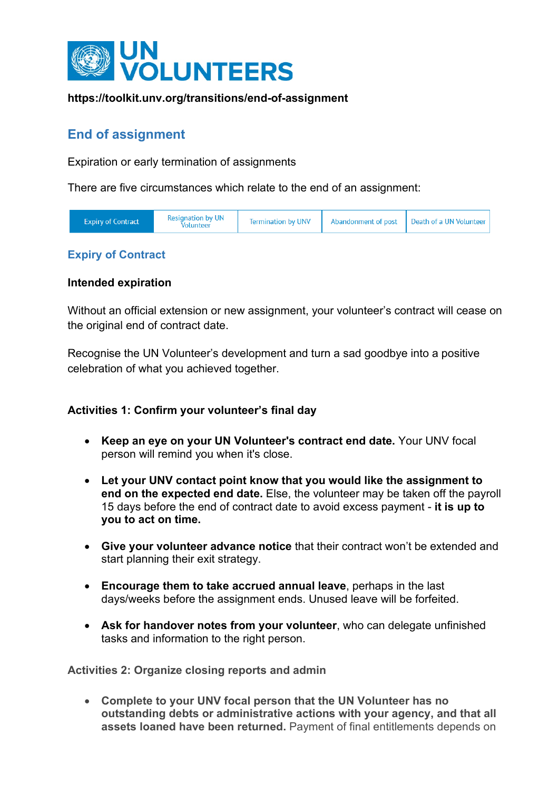

# **End of assignment**

Expiration or early termination of assignments

There are five circumstances which relate to the end of an assignment:

| <b>Expiry of Contract</b> | <b>Resignation by UN</b><br>/olunteer | <b>Termination by UNV</b> | Abandonment of post   Death of a UN Volunteer |
|---------------------------|---------------------------------------|---------------------------|-----------------------------------------------|
|                           |                                       |                           |                                               |

# **Expiry of Contract**

## **Intended expiration**

Without an official extension or new assignment, your volunteer's contract will cease on the original end of contract date.

Recognise the UN Volunteer's development and turn a sad goodbye into a positive celebration of what you achieved together.

## **Activities 1: Confirm your volunteer's final day**

- **Keep an eye on your UN Volunteer's contract end date.** Your UNV focal person will remind you when it's close.
- **Let your UNV contact point know that you would like the assignment to end on the expected end date.** Else, the volunteer may be taken off the payroll 15 days before the end of contract date to avoid excess payment - **it is up to you to act on time.**
- **Give your volunteer advance notice** that their contract won't be extended and start planning their exit strategy.
- **Encourage them to take accrued annual leave**, perhaps in the last days/weeks before the assignment ends. Unused leave will be forfeited.
- **Ask for handover notes from your volunteer**, who can delegate unfinished tasks and information to the right person.

**Activities 2: Organize closing reports and admin**

• **Complete to your UNV focal person that the UN Volunteer has no outstanding debts or administrative actions with your agency, and that all assets loaned have been returned.** Payment of final entitlements depends on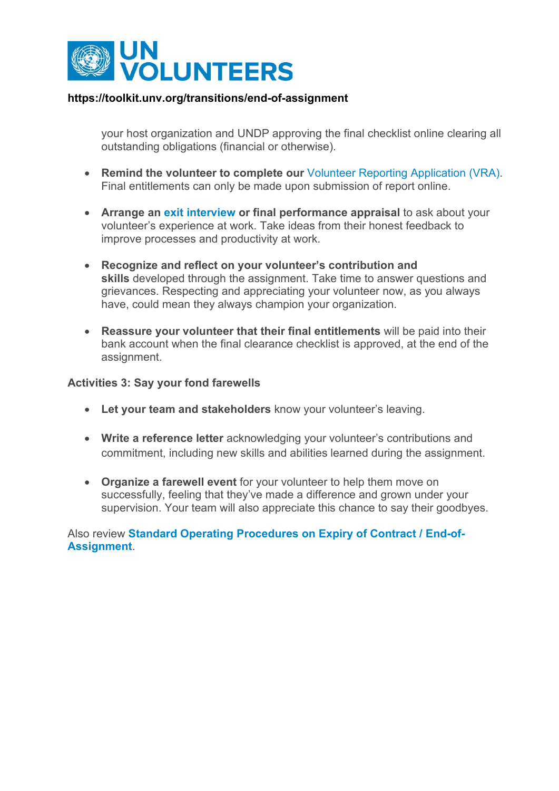

your host organization and UNDP approving the final checklist online clearing all outstanding obligations (financial or otherwise).

- **Remind the volunteer to complete our** [Volunteer Reporting Application \(VRA\).](https://vra.unv.org/) Final entitlements can only be made upon submission of report online.
- **Arrange an [exit interview](https://hbr.org/2016/04/making-exit-interviews-count) or final performance appraisal** to ask about your volunteer's experience at work. Take ideas from their honest feedback to improve processes and productivity at work.
- **Recognize and reflect on your volunteer's contribution and skills** developed through the assignment. Take time to answer questions and grievances. Respecting and appreciating your volunteer now, as you always have, could mean they always champion your organization.
- **Reassure your volunteer that their final entitlements** will be paid into their bank account when the final clearance checklist is approved, at the end of the assignment.

#### **Activities 3: Say your fond farewells**

- **Let your team and stakeholders** know your volunteer's leaving.
- **Write a reference letter** acknowledging your volunteer's contributions and commitment, including new skills and abilities learned during the assignment.
- **Organize a farewell event** for your volunteer to help them move on successfully, feeling that they've made a difference and grown under your supervision. Your team will also appreciate this chance to say their goodbyes.

## Also review **[Standard Operating Procedures on Expiry of Contract / End-of-](https://explore.unv.org/node/105)[Assignment](https://explore.unv.org/node/105)**.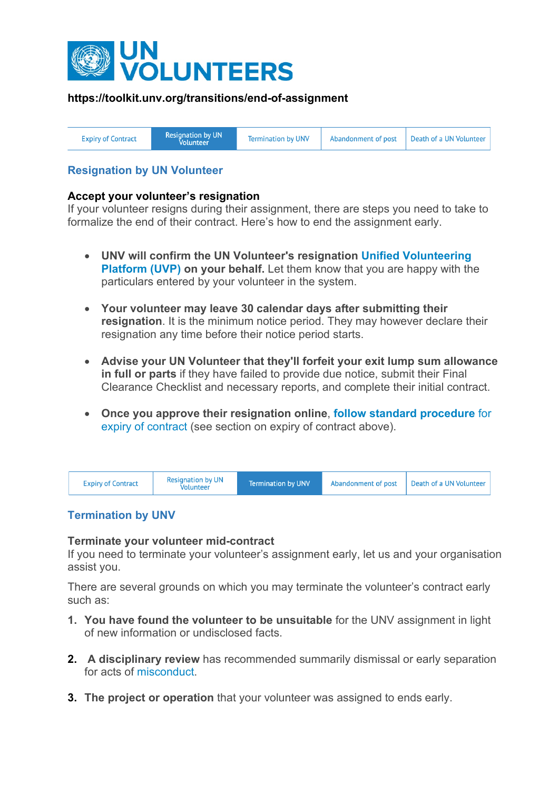

| Resignation by UN'<br>Abandonment of post   Death of a UN Volunteer<br><b>Termination by UNV</b><br><b>Expiry of Contract</b><br>Volunteer |
|--------------------------------------------------------------------------------------------------------------------------------------------|
|--------------------------------------------------------------------------------------------------------------------------------------------|

# **Resignation by UN Volunteer**

#### **Accept your volunteer's resignation**

If your volunteer resigns during their assignment, there are steps you need to take to formalize the end of their contract. Here's how to end the assignment early.

- **UNV will confirm the UN Volunteer's resignation [Unified Volunteering](https://app.unv.org/)  [Platform \(UVP\)](https://app.unv.org/) on your behalf.** Let them know that you are happy with the particulars entered by your volunteer in the system.
- **Your volunteer may leave 30 calendar days after submitting their resignation**. It is the minimum notice period. They may however declare their resignation any time before their notice period starts.
- **Advise your UN Volunteer that they'll forfeit your exit lump sum allowance in full or parts** if they have failed to provide due notice, submit their Final Clearance Checklist and necessary reports, and complete their initial contract.
- **Once you approve their resignation online**, **[follow standard procedure](https://toolkit.unv.org/transitions/end-of-assignment)** for [expiry of contract](https://toolkit.unv.org/transitions/end-of-assignment) (see section on expiry of contract above).



# **Termination by UNV**

#### **Terminate your volunteer mid-contract**

If you need to terminate your volunteer's assignment early, let us and your organisation assist you.

There are several grounds on which you may terminate the volunteer's contract early such as:

- **1. You have found the volunteer to be unsuitable** for the UNV assignment in light of new information or undisclosed facts.
- **2. A disciplinary review** has recommended summarily dismissal or early separation for acts of [misconduct.](https://toolkit.unv.org/managing/respond-to-allegations-of-misconduct)
- **3. The project or operation** that your volunteer was assigned to ends early.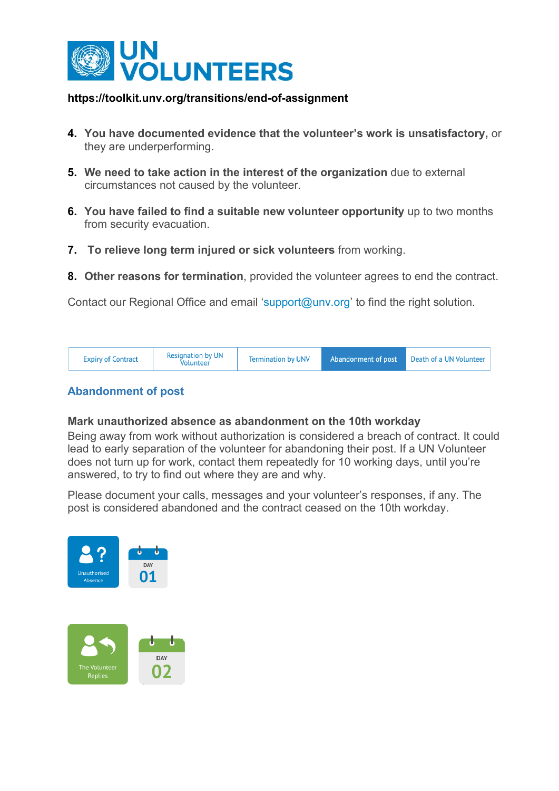

- **4. You have documented evidence that the volunteer's work is unsatisfactory,** or they are underperforming.
- **5. We need to take action in the interest of the organization** due to external circumstances not caused by the volunteer.
- **6. You have failed to find a suitable new volunteer opportunity** up to two months from security evacuation.
- **7. To relieve long term injured or sick volunteers** from working.
- **8. Other reasons for termination**, provided the volunteer agrees to end the contract.

Contact our Regional Office and email ['support@unv.org'](mailto:support@unv.org) to find the right solution.

| <b>Resignation by UN</b><br><b>Expiry of Contract</b><br>Volunteer | <b>Termination by UNV</b> | Abandonment of post | Death of a UN Volunteer |
|--------------------------------------------------------------------|---------------------------|---------------------|-------------------------|
|--------------------------------------------------------------------|---------------------------|---------------------|-------------------------|

# **Abandonment of post**

#### **Mark unauthorized absence as abandonment on the 10th workday**

Being away from work without authorization is considered a breach of contract. It could lead to early separation of the volunteer for abandoning their post. If a UN Volunteer does not turn up for work, contact them repeatedly for 10 working days, until you're answered, to try to find out where they are and why.

Please document your calls, messages and your volunteer's responses, if any. The post is considered abandoned and the contract ceased on the 10th workday.

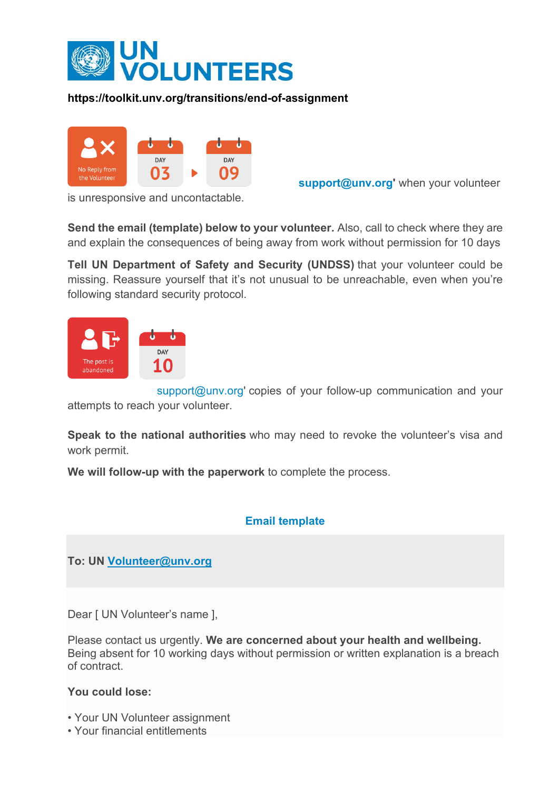



**[support@unv.org'](mailto:support@unv.org)** when your volunteer

is unresponsive and uncontactable.

**Send the email (template) below to your volunteer.** Also, call to check where they are and explain the consequences of being away from work without permission for 10 days

**Tell UN Department of Safety and Security (UNDSS)** that your volunteer could be missing. Reassure yourself that it's not unusual to be unreachable, even when you're following standard security protocol.



[support@unv.org'](mailto:support@unv.org) copies of your follow-up communication and your attempts to reach your volunteer.

**Speak to the national authorities** who may need to revoke the volunteer's visa and work permit.

**We will follow-up with the paperwork** to complete the process.

# **Email template**

**To: UN [Volunteer@unv.org](mailto:Volunteer@unv.org)**

Dear [ UN Volunteer's name ],

Please contact us urgently. **We are concerned about your health and wellbeing.** Being absent for 10 working days without permission or written explanation is a breach of contract.

## **You could lose:**

- Your UN Volunteer assignment
- Your financial entitlements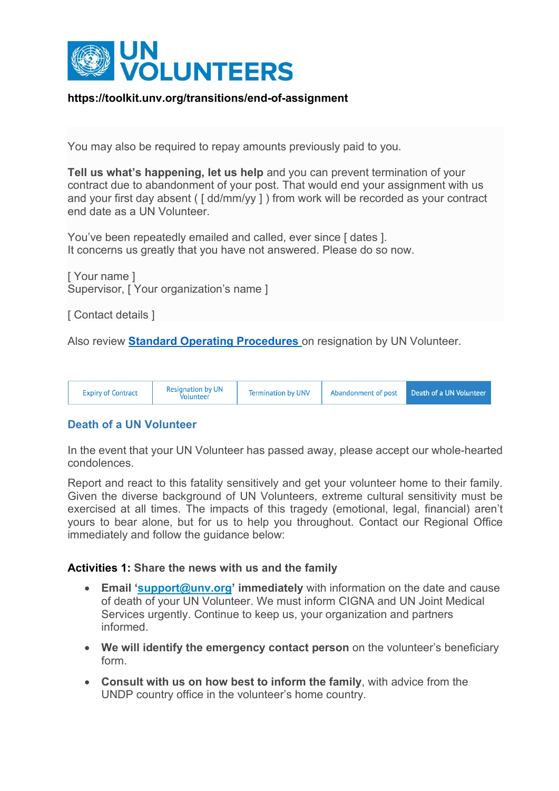

You may also be required to repay amounts previously paid to you.

**Tell us what's happening, let us help** and you can prevent termination of your contract due to abandonment of your post. That would end your assignment with us and your first day absent ( [ dd/mm/yy ] ) from work will be recorded as your contract end date as a UN Volunteer.

You've been repeatedly emailed and called, ever since I dates 1. It concerns us greatly that you have not answered. Please do so now.

[ Your name ] Supervisor, [ Your organization's name ]

[ Contact details ]

Also review **[Standard Operating Procedures](https://explore.unv.org/node/105)** on resignation by UN Volunteer.

| <b>Resignation by UN</b><br><b>Expiry of Contract</b><br><b>Volunteer</b> | <b>Termination by UNV</b> |  | Abandonment of post Death of a UN Volunteer |
|---------------------------------------------------------------------------|---------------------------|--|---------------------------------------------|
|---------------------------------------------------------------------------|---------------------------|--|---------------------------------------------|

## **Death of a UN Volunteer**

In the event that your UN Volunteer has passed away, please accept our whole-hearted condolences.

Report and react to this fatality sensitively and get your volunteer home to their family. Given the diverse background of UN Volunteers, extreme cultural sensitivity must be exercised at all times. The impacts of this tragedy (emotional, legal, financial) aren't yours to bear alone, but for us to help you throughout. Contact our Regional Office immediately and follow the guidance below:

#### **Activities 1: Share the news with us and the family**

- **Email ['support@unv.org'](mailto:support@unv.org) immediately** with information on the date and cause of death of your UN Volunteer. We must inform CIGNA and UN Joint Medical Services urgently. Continue to keep us, your organization and partners informed.
- **We will identify the emergency contact person** on the volunteer's beneficiary form.
- **Consult with us on how best to inform the family**, with advice from the UNDP country office in the volunteer's home country.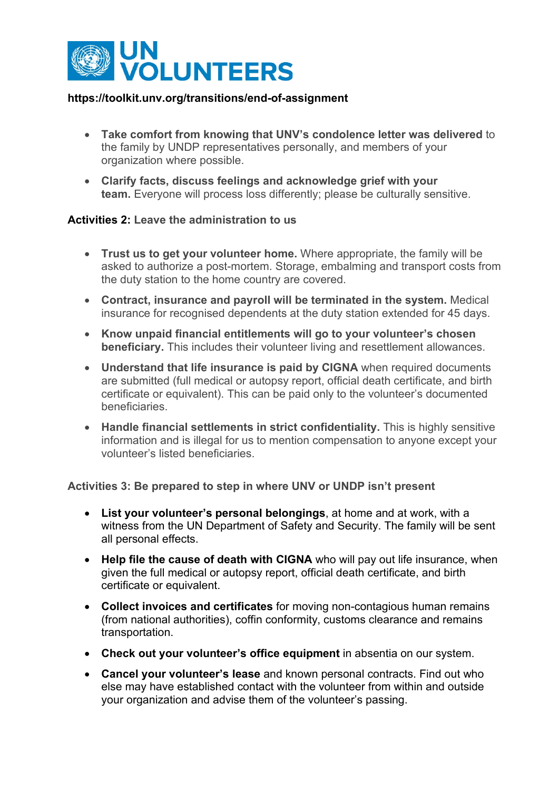

- **Take comfort from knowing that UNV's condolence letter was delivered** to the family by UNDP representatives personally, and members of your organization where possible.
- **Clarify facts, discuss feelings and acknowledge grief with your team.** Everyone will process loss differently; please be culturally sensitive.

#### **Activities 2: Leave the administration to us**

- **Trust us to get your volunteer home.** Where appropriate, the family will be asked to authorize a post-mortem. Storage, embalming and transport costs from the duty station to the home country are covered.
- **Contract, insurance and payroll will be terminated in the system.** Medical insurance for recognised dependents at the duty station extended for 45 days.
- **Know unpaid financial entitlements will go to your volunteer's chosen beneficiary.** This includes their volunteer living and resettlement allowances.
- **Understand that life insurance is paid by CIGNA** when required documents are submitted (full medical or autopsy report, official death certificate, and birth certificate or equivalent). This can be paid only to the volunteer's documented beneficiaries.
- **Handle financial settlements in strict confidentiality.** This is highly sensitive information and is illegal for us to mention compensation to anyone except your volunteer's listed beneficiaries.

#### **Activities 3: Be prepared to step in where UNV or UNDP isn't present**

- **List your volunteer's personal belongings**, at home and at work, with a witness from the UN Department of Safety and Security. The family will be sent all personal effects.
- **Help file the cause of death with CIGNA** who will pay out life insurance, when given the full medical or autopsy report, official death certificate, and birth certificate or equivalent.
- **Collect invoices and certificates** for moving non-contagious human remains (from national authorities), coffin conformity, customs clearance and remains transportation.
- **Check out your volunteer's office equipment** in absentia on our system.
- **Cancel your volunteer's lease** and known personal contracts. Find out who else may have established contact with the volunteer from within and outside your organization and advise them of the volunteer's passing.